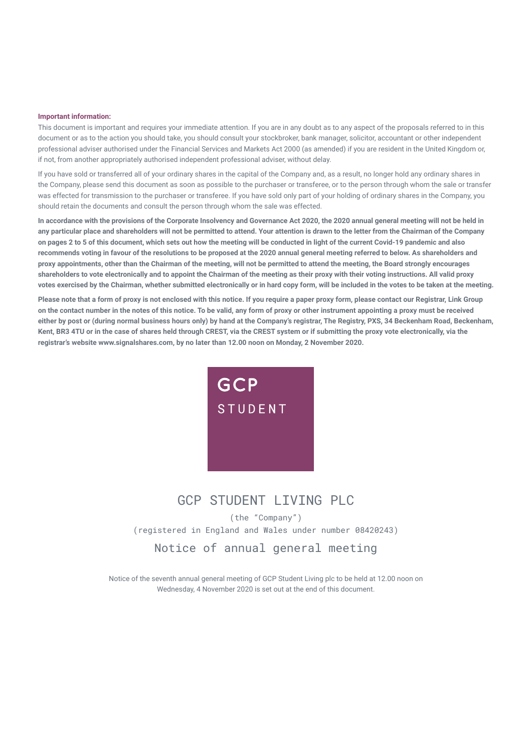#### **Important information:**

This document is important and requires your immediate attention. If you are in any doubt as to any aspect of the proposals referred to in this document or as to the action you should take, you should consult your stockbroker, bank manager, solicitor, accountant or other independent professional adviser authorised under the Financial Services and Markets Act 2000 (as amended) if you are resident in the United Kingdom or, if not, from another appropriately authorised independent professional adviser, without delay.

If you have sold or transferred all of your ordinary shares in the capital of the Company and, as a result, no longer hold any ordinary shares in the Company, please send this document as soon as possible to the purchaser or transferee, or to the person through whom the sale or transfer was effected for transmission to the purchaser or transferee. If you have sold only part of your holding of ordinary shares in the Company, you should retain the documents and consult the person through whom the sale was effected.

**In accordance with the provisions of the Corporate Insolvency and Governance Act 2020, the 2020 annual general meeting will not be held in any particular place and shareholders will not be permitted to attend. Your attention is drawn to the letter from the Chairman of the Company on pages 2 to 5 of this document, which sets out how the meeting will be conducted in light of the current Covid-19 pandemic and also recommends voting in favour of the resolutions to be proposed at the 2020 annual general meeting referred to below. As shareholders and proxy appointments, other than the Chairman of the meeting, will not be permitted to attend the meeting, the Board strongly encourages shareholders to vote electronically and to appoint the Chairman of the meeting as their proxy with their voting instructions. All valid proxy votes exercised by the Chairman, whether submitted electronically or in hard copy form, will be included in the votes to be taken at the meeting.** 

**Please note that a form of proxy is not enclosed with this notice. If you require a paper proxy form, please contact our Registrar, Link Group on the contact number in the notes of this notice. To be valid, any form of proxy or other instrument appointing a proxy must be received either by post or (during normal business hours only) by hand at the Company's registrar, The Registry, PXS, 34 Beckenham Road, Beckenham, Kent, BR3 4TU or in the case of shares held through CREST, via the CREST system or if submitting the proxy vote electronically, via the registrar's website www.signalshares.com, by no later than 12.00 noon on Monday, 2 November 2020.** 



# GCP STUDENT LIVING PLC

(the "Company")

(registered in England and Wales under number 08420243)

Notice of annual general meeting

Notice of the seventh annual general meeting of GCP Student Living plc to be held at 12.00 noon on Wednesday, 4 November 2020 is set out at the end of this document.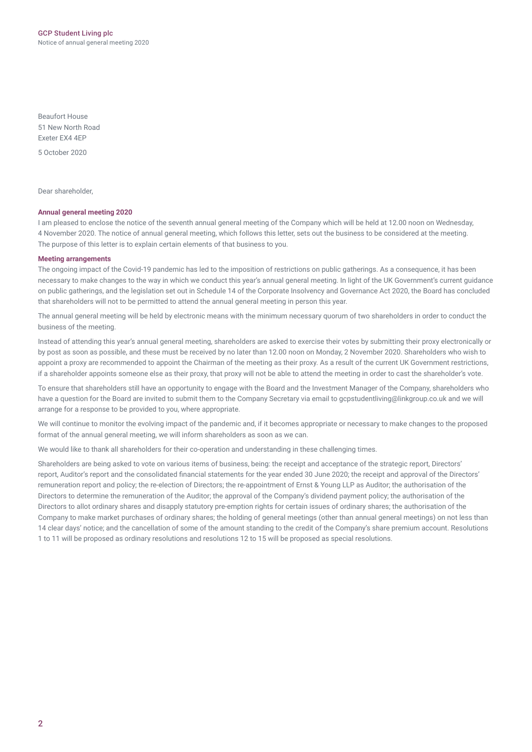Beaufort House 51 New North Road Exeter EX4 4EP

5 October 2020

Dear shareholder,

# **Annual general meeting 2020**

I am pleased to enclose the notice of the seventh annual general meeting of the Company which will be held at 12.00 noon on Wednesday, 4 November 2020. The notice of annual general meeting, which follows this letter, sets out the business to be considered at the meeting. The purpose of this letter is to explain certain elements of that business to you.

# **Meeting arrangements**

The ongoing impact of the Covid-19 pandemic has led to the imposition of restrictions on public gatherings. As a consequence, it has been necessary to make changes to the way in which we conduct this year's annual general meeting. In light of the UK Government's current guidance on public gatherings, and the legislation set out in Schedule 14 of the Corporate Insolvency and Governance Act 2020, the Board has concluded that shareholders will not to be permitted to attend the annual general meeting in person this year.

The annual general meeting will be held by electronic means with the minimum necessary quorum of two shareholders in order to conduct the business of the meeting.

Instead of attending this year's annual general meeting, shareholders are asked to exercise their votes by submitting their proxy electronically or by post as soon as possible, and these must be received by no later than 12.00 noon on Monday, 2 November 2020. Shareholders who wish to appoint a proxy are recommended to appoint the Chairman of the meeting as their proxy. As a result of the current UK Government restrictions, if a shareholder appoints someone else as their proxy, that proxy will not be able to attend the meeting in order to cast the shareholder's vote.

To ensure that shareholders still have an opportunity to engage with the Board and the Investment Manager of the Company, shareholders who have a question for the Board are invited to submit them to the Company Secretary via email to gcpstudentliving@linkgroup.co.uk and we will arrange for a response to be provided to you, where appropriate.

We will continue to monitor the evolving impact of the pandemic and, if it becomes appropriate or necessary to make changes to the proposed format of the annual general meeting, we will inform shareholders as soon as we can.

We would like to thank all shareholders for their co-operation and understanding in these challenging times.

Shareholders are being asked to vote on various items of business, being: the receipt and acceptance of the strategic report, Directors' report, Auditor's report and the consolidated financial statements for the year ended 30 June 2020; the receipt and approval of the Directors' remuneration report and policy; the re-election of Directors; the re‑appointment of Ernst & Young LLP as Auditor; the authorisation of the Directors to determine the remuneration of the Auditor; the approval of the Company's dividend payment policy; the authorisation of the Directors to allot ordinary shares and disapply statutory pre‑emption rights for certain issues of ordinary shares; the authorisation of the Company to make market purchases of ordinary shares; the holding of general meetings (other than annual general meetings) on not less than 14 clear days' notice; and the cancellation of some of the amount standing to the credit of the Company's share premium account. Resolutions 1 to 11 will be proposed as ordinary resolutions and resolutions 12 to 15 will be proposed as special resolutions.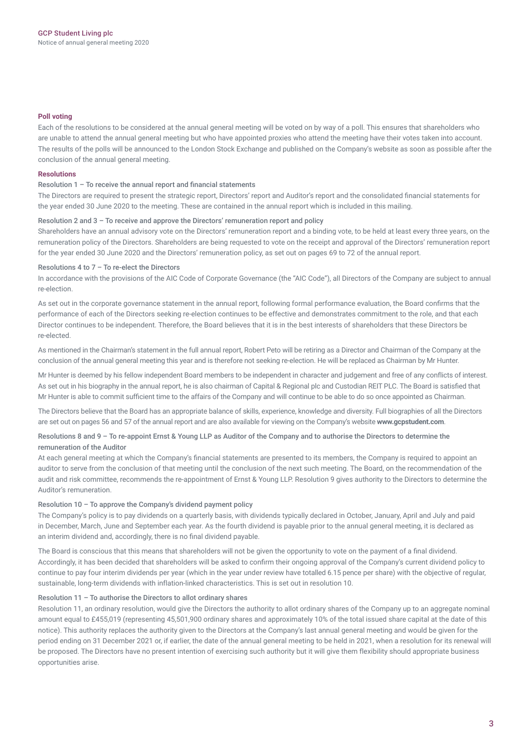## **Poll voting**

Each of the resolutions to be considered at the annual general meeting will be voted on by way of a poll. This ensures that shareholders who are unable to attend the annual general meeting but who have appointed proxies who attend the meeting have their votes taken into account. The results of the polls will be announced to the London Stock Exchange and published on the Company's website as soon as possible after the conclusion of the annual general meeting.

# **Resolutions**

#### Resolution 1 – To receive the annual report and financial statements

The Directors are required to present the strategic report, Directors' report and Auditor's report and the consolidated financial statements for the year ended 30 June 2020 to the meeting. These are contained in the annual report which is included in this mailing.

### Resolution 2 and 3 – To receive and approve the Directors' remuneration report and policy

Shareholders have an annual advisory vote on the Directors' remuneration report and a binding vote, to be held at least every three years, on the remuneration policy of the Directors. Shareholders are being requested to vote on the receipt and approval of the Directors' remuneration report for the year ended 30 June 2020 and the Directors' remuneration policy, as set out on pages 69 to 72 of the annual report.

## Resolutions 4 to 7 – To re-elect the Directors

In accordance with the provisions of the AIC Code of Corporate Governance (the "AIC Code"), all Directors of the Company are subject to annual re-election.

As set out in the corporate governance statement in the annual report, following formal performance evaluation, the Board confirms that the performance of each of the Directors seeking re-election continues to be effective and demonstrates commitment to the role, and that each Director continues to be independent. Therefore, the Board believes that it is in the best interests of shareholders that these Directors be re-elected.

As mentioned in the Chairman's statement in the full annual report, Robert Peto will be retiring as a Director and Chairman of the Company at the conclusion of the annual general meeting this year and is therefore not seeking re-election. He will be replaced as Chairman by Mr Hunter.

Mr Hunter is deemed by his fellow independent Board members to be independent in character and judgement and free of any conflicts of interest. As set out in his biography in the annual report, he is also chairman of Capital & Regional plc and Custodian REIT PLC. The Board is satisfied that Mr Hunter is able to commit sufficient time to the affairs of the Company and will continue to be able to do so once appointed as Chairman.

The Directors believe that the Board has an appropriate balance of skills, experience, knowledge and diversity. Full biographies of all the Directors are set out on pages 56 and 57 of the annual report and are also available for viewing on the Company's website **www.gcpstudent.com**.

# Resolutions 8 and 9 – To re-appoint Ernst & Young LLP as Auditor of the Company and to authorise the Directors to determine the remuneration of the Auditor

At each general meeting at which the Company's financial statements are presented to its members, the Company is required to appoint an auditor to serve from the conclusion of that meeting until the conclusion of the next such meeting. The Board, on the recommendation of the audit and risk committee, recommends the re‑appointment of Ernst & Young LLP. Resolution 9 gives authority to the Directors to determine the Auditor's remuneration.

# Resolution 10 – To approve the Company's dividend payment policy

The Company's policy is to pay dividends on a quarterly basis, with dividends typically declared in October, January, April and July and paid in December, March, June and September each year. As the fourth dividend is payable prior to the annual general meeting, it is declared as an interim dividend and, accordingly, there is no final dividend payable.

The Board is conscious that this means that shareholders will not be given the opportunity to vote on the payment of a final dividend. Accordingly, it has been decided that shareholders will be asked to confirm their ongoing approval of the Company's current dividend policy to continue to pay four interim dividends per year (which in the year under review have totalled 6.15 pence per share) with the objective of regular, sustainable, long-term dividends with inflation-linked characteristics. This is set out in resolution 10.

# Resolution 11 – To authorise the Directors to allot ordinary shares

Resolution 11, an ordinary resolution, would give the Directors the authority to allot ordinary shares of the Company up to an aggregate nominal amount equal to £455,019 (representing 45,501,900 ordinary shares and approximately 10% of the total issued share capital at the date of this notice). This authority replaces the authority given to the Directors at the Company's last annual general meeting and would be given for the period ending on 31 December 2021 or, if earlier, the date of the annual general meeting to be held in 2021, when a resolution for its renewal will be proposed. The Directors have no present intention of exercising such authority but it will give them flexibility should appropriate business opportunities arise.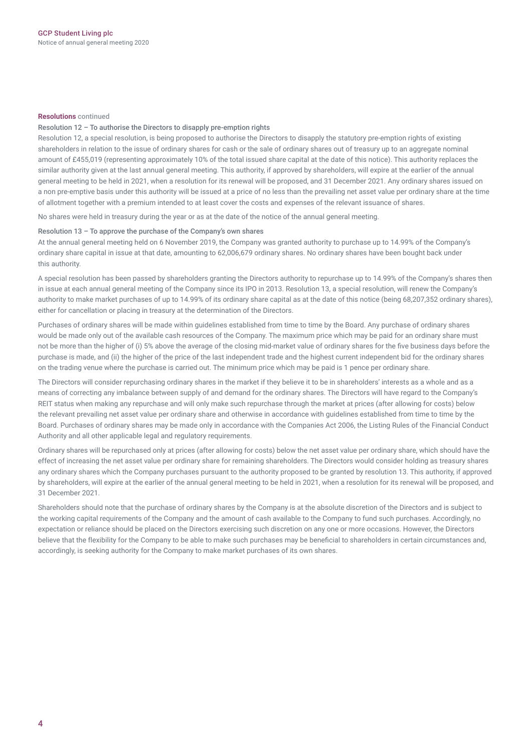#### **Resolutions** continued

#### Resolution 12 – To authorise the Directors to disapply pre‑emption rights

Resolution 12, a special resolution, is being proposed to authorise the Directors to disapply the statutory pre-emption rights of existing shareholders in relation to the issue of ordinary shares for cash or the sale of ordinary shares out of treasury up to an aggregate nominal amount of £455,019 (representing approximately 10% of the total issued share capital at the date of this notice). This authority replaces the similar authority given at the last annual general meeting. This authority, if approved by shareholders, will expire at the earlier of the annual general meeting to be held in 2021, when a resolution for its renewal will be proposed, and 31 December 2021. Any ordinary shares issued on a non pre-emptive basis under this authority will be issued at a price of no less than the prevailing net asset value per ordinary share at the time of allotment together with a premium intended to at least cover the costs and expenses of the relevant issuance of shares.

No shares were held in treasury during the year or as at the date of the notice of the annual general meeting.

#### Resolution 13 – To approve the purchase of the Company's own shares

At the annual general meeting held on 6 November 2019, the Company was granted authority to purchase up to 14.99% of the Company's ordinary share capital in issue at that date, amounting to 62,006,679 ordinary shares. No ordinary shares have been bought back under this authority.

A special resolution has been passed by shareholders granting the Directors authority to repurchase up to 14.99% of the Company's shares then in issue at each annual general meeting of the Company since its IPO in 2013. Resolution 13, a special resolution, will renew the Company's authority to make market purchases of up to 14.99% of its ordinary share capital as at the date of this notice (being 68,207,352 ordinary shares), either for cancellation or placing in treasury at the determination of the Directors.

Purchases of ordinary shares will be made within guidelines established from time to time by the Board. Any purchase of ordinary shares would be made only out of the available cash resources of the Company. The maximum price which may be paid for an ordinary share must not be more than the higher of (i) 5% above the average of the closing mid-market value of ordinary shares for the five business days before the purchase is made, and (ii) the higher of the price of the last independent trade and the highest current independent bid for the ordinary shares on the trading venue where the purchase is carried out. The minimum price which may be paid is 1 pence per ordinary share.

The Directors will consider repurchasing ordinary shares in the market if they believe it to be in shareholders' interests as a whole and as a means of correcting any imbalance between supply of and demand for the ordinary shares. The Directors will have regard to the Company's REIT status when making any repurchase and will only make such repurchase through the market at prices (after allowing for costs) below the relevant prevailing net asset value per ordinary share and otherwise in accordance with guidelines established from time to time by the Board. Purchases of ordinary shares may be made only in accordance with the Companies Act 2006, the Listing Rules of the Financial Conduct Authority and all other applicable legal and regulatory requirements.

Ordinary shares will be repurchased only at prices (after allowing for costs) below the net asset value per ordinary share, which should have the effect of increasing the net asset value per ordinary share for remaining shareholders. The Directors would consider holding as treasury shares any ordinary shares which the Company purchases pursuant to the authority proposed to be granted by resolution 13. This authority, if approved by shareholders, will expire at the earlier of the annual general meeting to be held in 2021, when a resolution for its renewal will be proposed, and 31 December 2021.

Shareholders should note that the purchase of ordinary shares by the Company is at the absolute discretion of the Directors and is subject to the working capital requirements of the Company and the amount of cash available to the Company to fund such purchases. Accordingly, no expectation or reliance should be placed on the Directors exercising such discretion on any one or more occasions. However, the Directors believe that the flexibility for the Company to be able to make such purchases may be beneficial to shareholders in certain circumstances and, accordingly, is seeking authority for the Company to make market purchases of its own shares.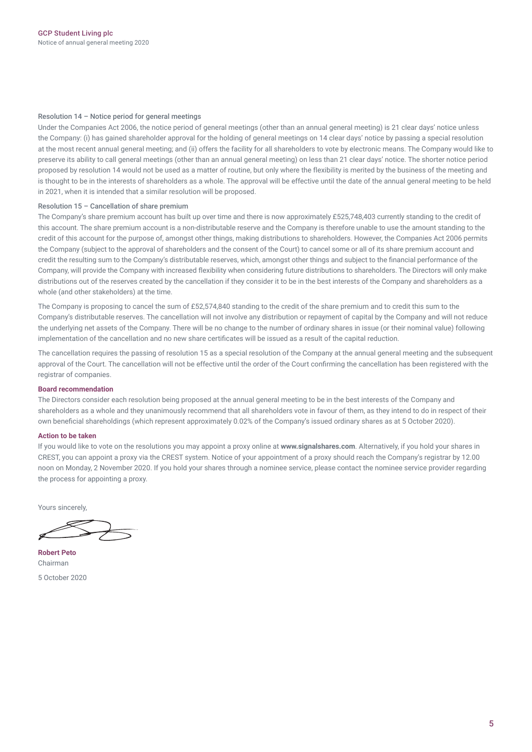#### Resolution 14 – Notice period for general meetings

Under the Companies Act 2006, the notice period of general meetings (other than an annual general meeting) is 21 clear days' notice unless the Company: (i) has gained shareholder approval for the holding of general meetings on 14 clear days' notice by passing a special resolution at the most recent annual general meeting; and (ii) offers the facility for all shareholders to vote by electronic means. The Company would like to preserve its ability to call general meetings (other than an annual general meeting) on less than 21 clear days' notice. The shorter notice period proposed by resolution 14 would not be used as a matter of routine, but only where the flexibility is merited by the business of the meeting and is thought to be in the interests of shareholders as a whole. The approval will be effective until the date of the annual general meeting to be held in 2021, when it is intended that a similar resolution will be proposed.

# Resolution 15 – Cancellation of share premium

The Company's share premium account has built up over time and there is now approximately £525,748,403 currently standing to the credit of this account. The share premium account is a non-distributable reserve and the Company is therefore unable to use the amount standing to the credit of this account for the purpose of, amongst other things, making distributions to shareholders. However, the Companies Act 2006 permits the Company (subject to the approval of shareholders and the consent of the Court) to cancel some or all of its share premium account and credit the resulting sum to the Company's distributable reserves, which, amongst other things and subject to the financial performance of the Company, will provide the Company with increased flexibility when considering future distributions to shareholders. The Directors will only make distributions out of the reserves created by the cancellation if they consider it to be in the best interests of the Company and shareholders as a whole (and other stakeholders) at the time.

The Company is proposing to cancel the sum of £52,574,840 standing to the credit of the share premium and to credit this sum to the Company's distributable reserves. The cancellation will not involve any distribution or repayment of capital by the Company and will not reduce the underlying net assets of the Company. There will be no change to the number of ordinary shares in issue (or their nominal value) following implementation of the cancellation and no new share certificates will be issued as a result of the capital reduction.

The cancellation requires the passing of resolution 15 as a special resolution of the Company at the annual general meeting and the subsequent approval of the Court. The cancellation will not be effective until the order of the Court confirming the cancellation has been registered with the registrar of companies.

# **Board recommendation**

The Directors consider each resolution being proposed at the annual general meeting to be in the best interests of the Company and shareholders as a whole and they unanimously recommend that all shareholders vote in favour of them, as they intend to do in respect of their own beneficial shareholdings (which represent approximately 0.02% of the Company's issued ordinary shares as at 5 October 2020).

#### **Action to be taken**

If you would like to vote on the resolutions you may appoint a proxy online at **www.signalshares.com**. Alternatively, if you hold your shares in CREST, you can appoint a proxy via the CREST system. Notice of your appointment of a proxy should reach the Company's registrar by 12.00 noon on Monday, 2 November 2020. If you hold your shares through a nominee service, please contact the nominee service provider regarding the process for appointing a proxy.

Yours sincerely,

**Robert Peto** Chairman 5 October 2020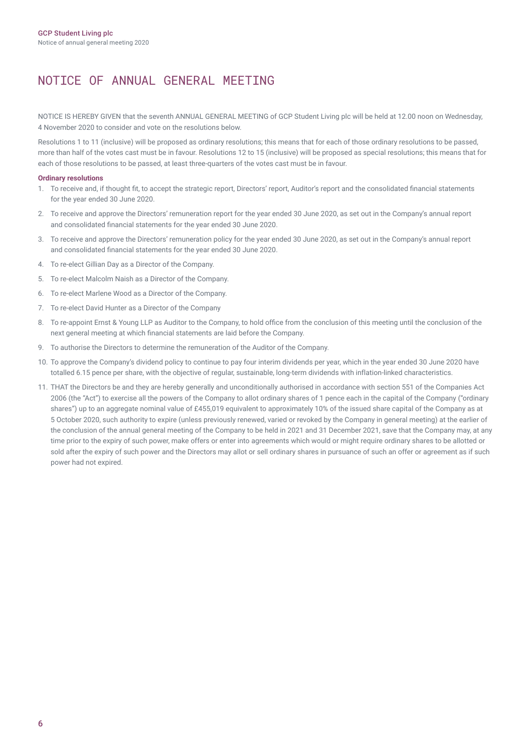# NOTICE OF ANNUAL GENERAL MEETING

NOTICE IS HEREBY GIVEN that the seventh ANNUAL GENERAL MEETING of GCP Student Living plc will be held at 12.00 noon on Wednesday, 4 November 2020 to consider and vote on the resolutions below.

Resolutions 1 to 11 (inclusive) will be proposed as ordinary resolutions; this means that for each of those ordinary resolutions to be passed, more than half of the votes cast must be in favour. Resolutions 12 to 15 (inclusive) will be proposed as special resolutions; this means that for each of those resolutions to be passed, at least three-quarters of the votes cast must be in favour.

# **Ordinary resolutions**

- 1. To receive and, if thought fit, to accept the strategic report, Directors' report, Auditor's report and the consolidated financial statements for the year ended 30 June 2020.
- 2. To receive and approve the Directors' remuneration report for the year ended 30 June 2020, as set out in the Company's annual report and consolidated financial statements for the year ended 30 June 2020.
- 3. To receive and approve the Directors' remuneration policy for the year ended 30 June 2020, as set out in the Company's annual report and consolidated financial statements for the year ended 30 June 2020.
- 4. To re-elect Gillian Day as a Director of the Company.
- 5. To re-elect Malcolm Naish as a Director of the Company.
- 6. To re-elect Marlene Wood as a Director of the Company.
- 7. To re-elect David Hunter as a Director of the Company
- 8. To re-appoint Ernst & Young LLP as Auditor to the Company, to hold office from the conclusion of this meeting until the conclusion of the next general meeting at which financial statements are laid before the Company.
- 9. To authorise the Directors to determine the remuneration of the Auditor of the Company.
- 10. To approve the Company's dividend policy to continue to pay four interim dividends per year, which in the year ended 30 June 2020 have totalled 6.15 pence per share, with the objective of regular, sustainable, long-term dividends with inflation-linked characteristics.
- 11. THAT the Directors be and they are hereby generally and unconditionally authorised in accordance with section 551 of the Companies Act 2006 (the "Act") to exercise all the powers of the Company to allot ordinary shares of 1 pence each in the capital of the Company ("ordinary shares") up to an aggregate nominal value of £455,019 equivalent to approximately 10% of the issued share capital of the Company as at 5 October 2020, such authority to expire (unless previously renewed, varied or revoked by the Company in general meeting) at the earlier of the conclusion of the annual general meeting of the Company to be held in 2021 and 31 December 2021, save that the Company may, at any time prior to the expiry of such power, make offers or enter into agreements which would or might require ordinary shares to be allotted or sold after the expiry of such power and the Directors may allot or sell ordinary shares in pursuance of such an offer or agreement as if such power had not expired.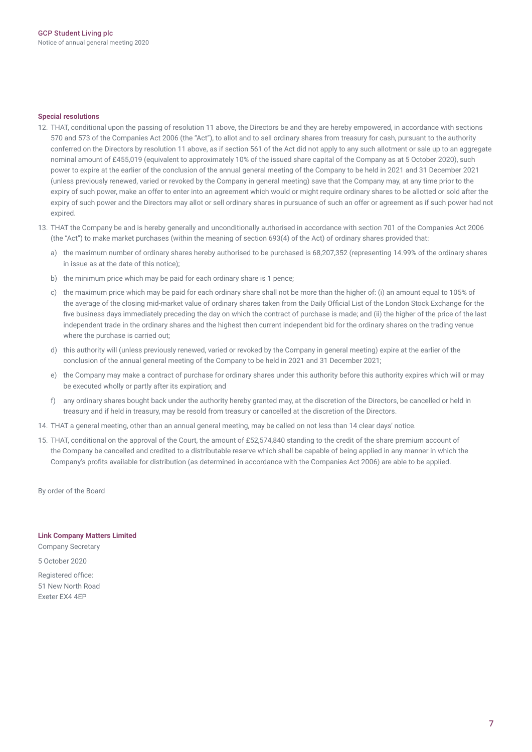#### **Special resolutions**

- 12. THAT, conditional upon the passing of resolution 11 above, the Directors be and they are hereby empowered, in accordance with sections 570 and 573 of the Companies Act 2006 (the "Act"), to allot and to sell ordinary shares from treasury for cash, pursuant to the authority conferred on the Directors by resolution 11 above, as if section 561 of the Act did not apply to any such allotment or sale up to an aggregate nominal amount of £455,019 (equivalent to approximately 10% of the issued share capital of the Company as at 5 October 2020), such power to expire at the earlier of the conclusion of the annual general meeting of the Company to be held in 2021 and 31 December 2021 (unless previously renewed, varied or revoked by the Company in general meeting) save that the Company may, at any time prior to the expiry of such power, make an offer to enter into an agreement which would or might require ordinary shares to be allotted or sold after the expiry of such power and the Directors may allot or sell ordinary shares in pursuance of such an offer or agreement as if such power had not expired.
- 13. THAT the Company be and is hereby generally and unconditionally authorised in accordance with section 701 of the Companies Act 2006 (the "Act") to make market purchases (within the meaning of section 693(4) of the Act) of ordinary shares provided that:
	- a) the maximum number of ordinary shares hereby authorised to be purchased is 68,207,352 (representing 14.99% of the ordinary shares in issue as at the date of this notice);
	- b) the minimum price which may be paid for each ordinary share is 1 pence;
	- c) the maximum price which may be paid for each ordinary share shall not be more than the higher of: (i) an amount equal to 105% of the average of the closing mid-market value of ordinary shares taken from the Daily Official List of the London Stock Exchange for the five business days immediately preceding the day on which the contract of purchase is made; and (ii) the higher of the price of the last independent trade in the ordinary shares and the highest then current independent bid for the ordinary shares on the trading venue where the purchase is carried out;
	- d) this authority will (unless previously renewed, varied or revoked by the Company in general meeting) expire at the earlier of the conclusion of the annual general meeting of the Company to be held in 2021 and 31 December 2021;
	- e) the Company may make a contract of purchase for ordinary shares under this authority before this authority expires which will or may be executed wholly or partly after its expiration; and
	- f) any ordinary shares bought back under the authority hereby granted may, at the discretion of the Directors, be cancelled or held in treasury and if held in treasury, may be resold from treasury or cancelled at the discretion of the Directors.
- 14. THAT a general meeting, other than an annual general meeting, may be called on not less than 14 clear days' notice.
- 15. THAT, conditional on the approval of the Court, the amount of £52,574,840 standing to the credit of the share premium account of the Company be cancelled and credited to a distributable reserve which shall be capable of being applied in any manner in which the Company's profits available for distribution (as determined in accordance with the Companies Act 2006) are able to be applied.

By order of the Board

## **Link Company Matters Limited**

Company Secretary 5 October 2020

Registered office: 51 New North Road Exeter EX4 4EP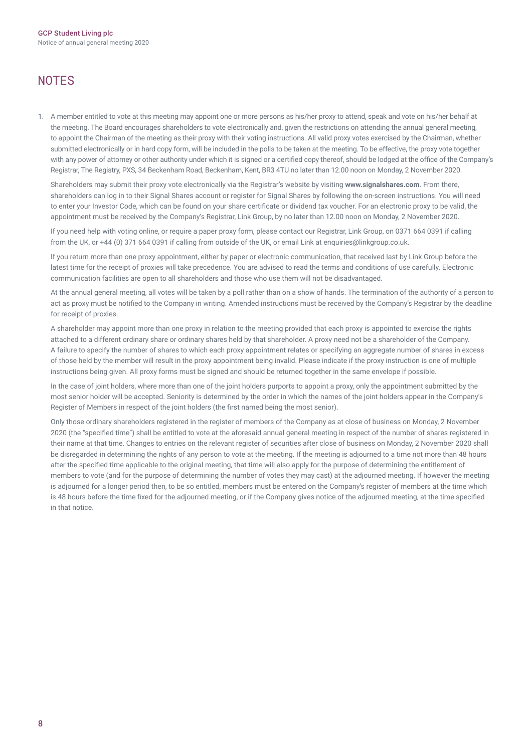# **NOTES**

1. A member entitled to vote at this meeting may appoint one or more persons as his/her proxy to attend, speak and vote on his/her behalf at the meeting. The Board encourages shareholders to vote electronically and, given the restrictions on attending the annual general meeting, to appoint the Chairman of the meeting as their proxy with their voting instructions. All valid proxy votes exercised by the Chairman, whether submitted electronically or in hard copy form, will be included in the polls to be taken at the meeting. To be effective, the proxy vote together with any power of attorney or other authority under which it is signed or a certified copy thereof, should be lodged at the office of the Company's Registrar, The Registry, PXS, 34 Beckenham Road, Beckenham, Kent, BR3 4TU no later than 12.00 noon on Monday, 2 November 2020.

Shareholders may submit their proxy vote electronically via the Registrar's website by visiting **www.signalshares.com**. From there, shareholders can log in to their Signal Shares account or register for Signal Shares by following the on-screen instructions. You will need to enter your Investor Code, which can be found on your share certificate or dividend tax voucher. For an electronic proxy to be valid, the appointment must be received by the Company's Registrar, Link Group, by no later than 12.00 noon on Monday, 2 November 2020.

If you need help with voting online, or require a paper proxy form, please contact our Registrar, Link Group, on 0371 664 0391 if calling from the UK, or +44 (0) 371 664 0391 if calling from outside of the UK, or email Link at enquiries@linkgroup.co.uk.

If you return more than one proxy appointment, either by paper or electronic communication, that received last by Link Group before the latest time for the receipt of proxies will take precedence. You are advised to read the terms and conditions of use carefully. Electronic communication facilities are open to all shareholders and those who use them will not be disadvantaged.

At the annual general meeting, all votes will be taken by a poll rather than on a show of hands. The termination of the authority of a person to act as proxy must be notified to the Company in writing. Amended instructions must be received by the Company's Registrar by the deadline for receipt of proxies.

A shareholder may appoint more than one proxy in relation to the meeting provided that each proxy is appointed to exercise the rights attached to a different ordinary share or ordinary shares held by that shareholder. A proxy need not be a shareholder of the Company. A failure to specify the number of shares to which each proxy appointment relates or specifying an aggregate number of shares in excess of those held by the member will result in the proxy appointment being invalid. Please indicate if the proxy instruction is one of multiple instructions being given. All proxy forms must be signed and should be returned together in the same envelope if possible.

In the case of joint holders, where more than one of the joint holders purports to appoint a proxy, only the appointment submitted by the most senior holder will be accepted. Seniority is determined by the order in which the names of the joint holders appear in the Company's Register of Members in respect of the joint holders (the first named being the most senior).

Only those ordinary shareholders registered in the register of members of the Company as at close of business on Monday, 2 November 2020 (the "specified time") shall be entitled to vote at the aforesaid annual general meeting in respect of the number of shares registered in their name at that time. Changes to entries on the relevant register of securities after close of business on Monday, 2 November 2020 shall be disregarded in determining the rights of any person to vote at the meeting. If the meeting is adjourned to a time not more than 48 hours after the specified time applicable to the original meeting, that time will also apply for the purpose of determining the entitlement of members to vote (and for the purpose of determining the number of votes they may cast) at the adjourned meeting. If however the meeting is adjourned for a longer period then, to be so entitled, members must be entered on the Company's register of members at the time which is 48 hours before the time fixed for the adjourned meeting, or if the Company gives notice of the adjourned meeting, at the time specified in that notice.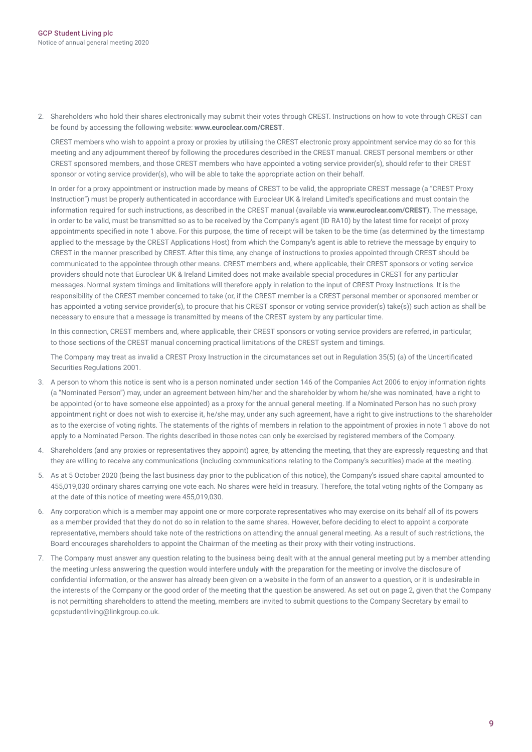2. Shareholders who hold their shares electronically may submit their votes through CREST. Instructions on how to vote through CREST can be found by accessing the following website: **www.euroclear.com/CREST**.

CREST members who wish to appoint a proxy or proxies by utilising the CREST electronic proxy appointment service may do so for this meeting and any adjournment thereof by following the procedures described in the CREST manual. CREST personal members or other CREST sponsored members, and those CREST members who have appointed a voting service provider(s), should refer to their CREST sponsor or voting service provider(s), who will be able to take the appropriate action on their behalf.

In order for a proxy appointment or instruction made by means of CREST to be valid, the appropriate CREST message (a "CREST Proxy Instruction") must be properly authenticated in accordance with Euroclear UK & Ireland Limited's specifications and must contain the information required for such instructions, as described in the CREST manual (available via **www.euroclear.com/CREST**). The message, in order to be valid, must be transmitted so as to be received by the Company's agent (ID RA10) by the latest time for receipt of proxy appointments specified in note 1 above. For this purpose, the time of receipt will be taken to be the time (as determined by the timestamp applied to the message by the CREST Applications Host) from which the Company's agent is able to retrieve the message by enquiry to CREST in the manner prescribed by CREST. After this time, any change of instructions to proxies appointed through CREST should be communicated to the appointee through other means. CREST members and, where applicable, their CREST sponsors or voting service providers should note that Euroclear UK & Ireland Limited does not make available special procedures in CREST for any particular messages. Normal system timings and limitations will therefore apply in relation to the input of CREST Proxy Instructions. It is the responsibility of the CREST member concerned to take (or, if the CREST member is a CREST personal member or sponsored member or has appointed a voting service provider(s), to procure that his CREST sponsor or voting service provider(s) take(s)) such action as shall be necessary to ensure that a message is transmitted by means of the CREST system by any particular time.

In this connection, CREST members and, where applicable, their CREST sponsors or voting service providers are referred, in particular, to those sections of the CREST manual concerning practical limitations of the CREST system and timings.

The Company may treat as invalid a CREST Proxy Instruction in the circumstances set out in Regulation 35(5) (a) of the Uncertificated Securities Regulations 2001.

- 3. A person to whom this notice is sent who is a person nominated under section 146 of the Companies Act 2006 to enjoy information rights (a "Nominated Person") may, under an agreement between him/her and the shareholder by whom he/she was nominated, have a right to be appointed (or to have someone else appointed) as a proxy for the annual general meeting. If a Nominated Person has no such proxy appointment right or does not wish to exercise it, he/she may, under any such agreement, have a right to give instructions to the shareholder as to the exercise of voting rights. The statements of the rights of members in relation to the appointment of proxies in note 1 above do not apply to a Nominated Person. The rights described in those notes can only be exercised by registered members of the Company.
- 4. Shareholders (and any proxies or representatives they appoint) agree, by attending the meeting, that they are expressly requesting and that they are willing to receive any communications (including communications relating to the Company's securities) made at the meeting.
- 5. As at 5 October 2020 (being the last business day prior to the publication of this notice), the Company's issued share capital amounted to 455,019,030 ordinary shares carrying one vote each. No shares were held in treasury. Therefore, the total voting rights of the Company as at the date of this notice of meeting were 455,019,030.
- 6. Any corporation which is a member may appoint one or more corporate representatives who may exercise on its behalf all of its powers as a member provided that they do not do so in relation to the same shares. However, before deciding to elect to appoint a corporate representative, members should take note of the restrictions on attending the annual general meeting. As a result of such restrictions, the Board encourages shareholders to appoint the Chairman of the meeting as their proxy with their voting instructions.
- 7. The Company must answer any question relating to the business being dealt with at the annual general meeting put by a member attending the meeting unless answering the question would interfere unduly with the preparation for the meeting or involve the disclosure of confidential information, or the answer has already been given on a website in the form of an answer to a question, or it is undesirable in the interests of the Company or the good order of the meeting that the question be answered. As set out on page 2, given that the Company is not permitting shareholders to attend the meeting, members are invited to submit questions to the Company Secretary by email to gcpstudentliving@linkgroup.co.uk.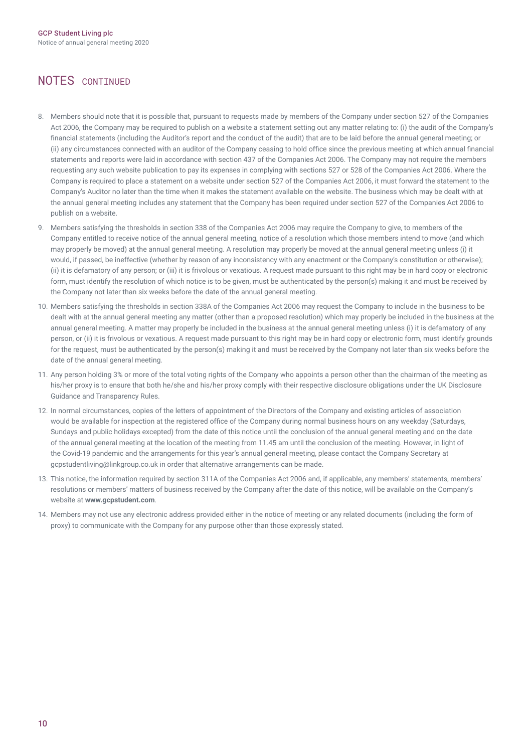# NOTES CONTINUED

- 8. Members should note that it is possible that, pursuant to requests made by members of the Company under section 527 of the Companies Act 2006, the Company may be required to publish on a website a statement setting out any matter relating to: (i) the audit of the Company's financial statements (including the Auditor's report and the conduct of the audit) that are to be laid before the annual general meeting; or (ii) any circumstances connected with an auditor of the Company ceasing to hold office since the previous meeting at which annual financial statements and reports were laid in accordance with section 437 of the Companies Act 2006. The Company may not require the members requesting any such website publication to pay its expenses in complying with sections 527 or 528 of the Companies Act 2006. Where the Company is required to place a statement on a website under section 527 of the Companies Act 2006, it must forward the statement to the Company's Auditor no later than the time when it makes the statement available on the website. The business which may be dealt with at the annual general meeting includes any statement that the Company has been required under section 527 of the Companies Act 2006 to publish on a website.
- 9. Members satisfying the thresholds in section 338 of the Companies Act 2006 may require the Company to give, to members of the Company entitled to receive notice of the annual general meeting, notice of a resolution which those members intend to move (and which may properly be moved) at the annual general meeting. A resolution may properly be moved at the annual general meeting unless (i) it would, if passed, be ineffective (whether by reason of any inconsistency with any enactment or the Company's constitution or otherwise); (ii) it is defamatory of any person; or (iii) it is frivolous or vexatious. A request made pursuant to this right may be in hard copy or electronic form, must identify the resolution of which notice is to be given, must be authenticated by the person(s) making it and must be received by the Company not later than six weeks before the date of the annual general meeting.
- 10. Members satisfying the thresholds in section 338A of the Companies Act 2006 may request the Company to include in the business to be dealt with at the annual general meeting any matter (other than a proposed resolution) which may properly be included in the business at the annual general meeting. A matter may properly be included in the business at the annual general meeting unless (i) it is defamatory of any person, or (ii) it is frivolous or vexatious. A request made pursuant to this right may be in hard copy or electronic form, must identify grounds for the request, must be authenticated by the person(s) making it and must be received by the Company not later than six weeks before the date of the annual general meeting.
- 11. Any person holding 3% or more of the total voting rights of the Company who appoints a person other than the chairman of the meeting as his/her proxy is to ensure that both he/she and his/her proxy comply with their respective disclosure obligations under the UK Disclosure Guidance and Transparency Rules.
- 12. In normal circumstances, copies of the letters of appointment of the Directors of the Company and existing articles of association would be available for inspection at the registered office of the Company during normal business hours on any weekday (Saturdays, Sundays and public holidays excepted) from the date of this notice until the conclusion of the annual general meeting and on the date of the annual general meeting at the location of the meeting from 11.45 am until the conclusion of the meeting. However, in light of the Covid-19 pandemic and the arrangements for this year's annual general meeting, please contact the Company Secretary at gcpstudentliving@linkgroup.co.uk in order that alternative arrangements can be made.
- 13. This notice, the information required by section 311A of the Companies Act 2006 and, if applicable, any members' statements, members' resolutions or members' matters of business received by the Company after the date of this notice, will be available on the Company's website at **www.gcpstudent.com**.
- 14. Members may not use any electronic address provided either in the notice of meeting or any related documents (including the form of proxy) to communicate with the Company for any purpose other than those expressly stated.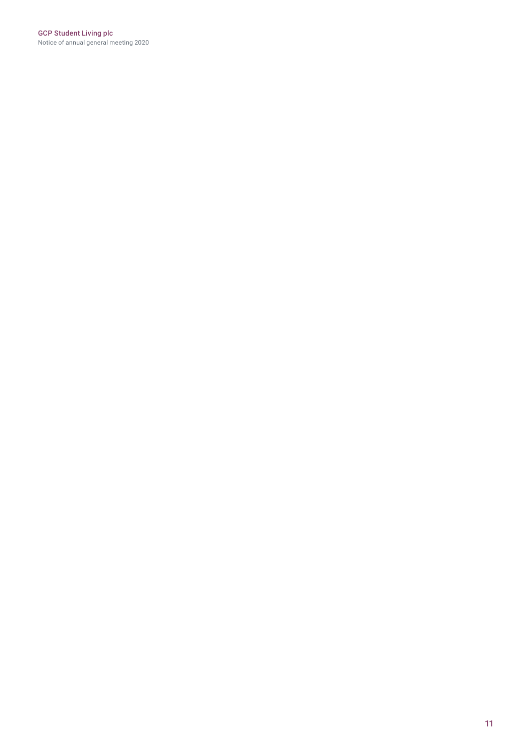GCP Student Living plc Notice of annual general meeting 2020